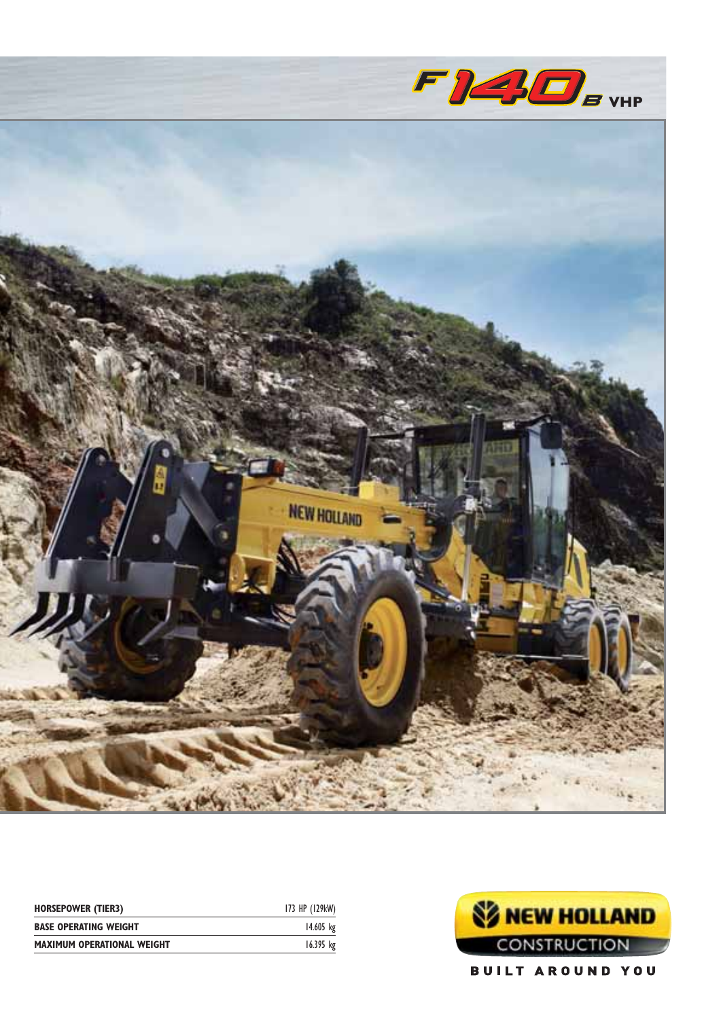

| <b>HORSEPOWER (TIER3)</b>         | 173 HP (129kW) |
|-----------------------------------|----------------|
| <b>BASE OPERATING WEIGHT</b>      | 14.605 kg      |
| <b>MAXIMUM OPERATIONAL WEIGHT</b> | $16.395$ kg    |

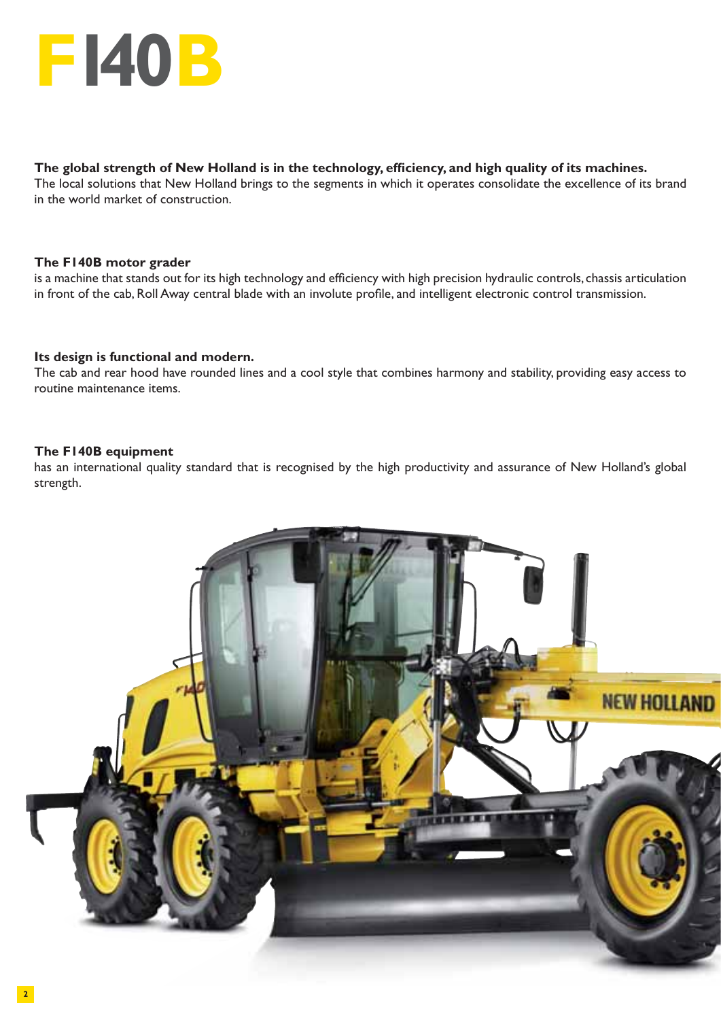

#### The global strength of New Holland is in the technology, efficiency, and high quality of its machines.

The local solutions that New Holland brings to the segments in which it operates consolidate the excellence of its brand in the world market of construction.

#### **The F140B motor grader**

is a machine that stands out for its high technology and efficiency with high precision hydraulic controls, chassis articulation in front of the cab, Roll Away central blade with an involute profile, and intelligent electronic control transmission.

#### **Its design is functional and modern.**

The cab and rear hood have rounded lines and a cool style that combines harmony and stability, providing easy access to routine maintenance items.

#### **The F140B equipment**

has an international quality standard that is recognised by the high productivity and assurance of New Holland's global strength.

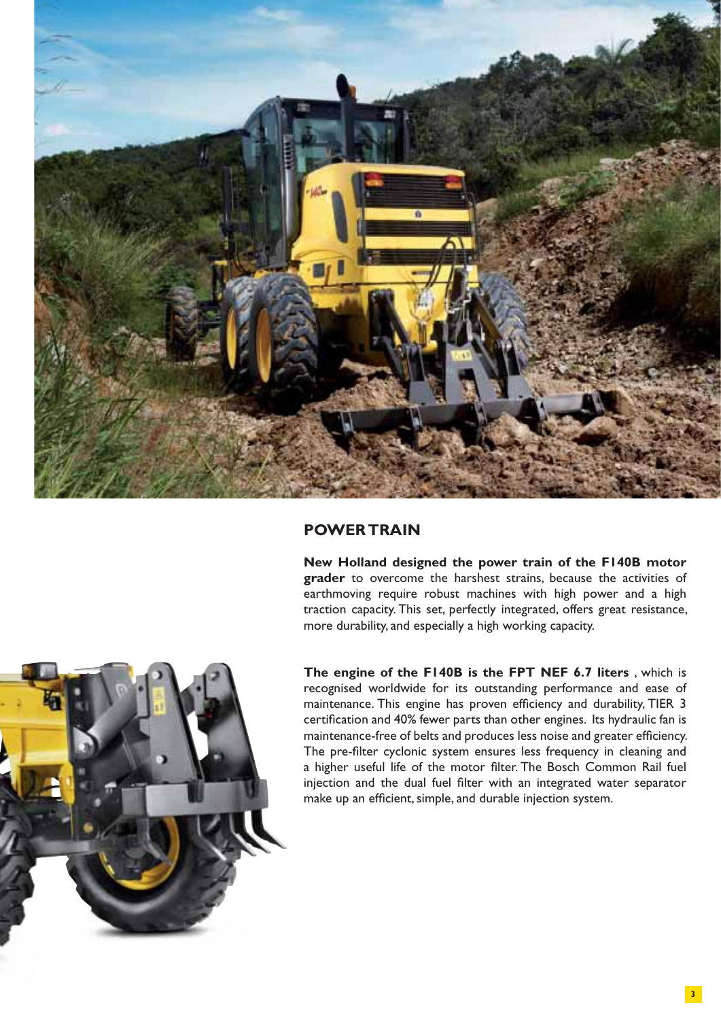

#### **POWER TRAIN**

**New Holland designed the power train of the F140B motor grader** to overcome the harshest strains, because the activities of earthmoving require robust machines with high power and a high traction capacity. This set, perfectly integrated, offers great resistance, more durability, and especially a high working capacity.



**The engine of the F140B is the FPT NEF 6.7 liters** , which is recognised worldwide for its outstanding performance and ease of maintenance. This engine has proven efficiency and durability, TIER 3 certification and 40% fewer parts than other engines. Its hydraulic fan is maintenance-free of belts and produces less noise and greater efficiency. The pre-filter cyclonic system ensures less frequency in cleaning and a higher useful life of the motor filter. The Bosch Common Rail fuel injection and the dual fuel filter with an integrated water separator make up an efficient, simple, and durable injection system.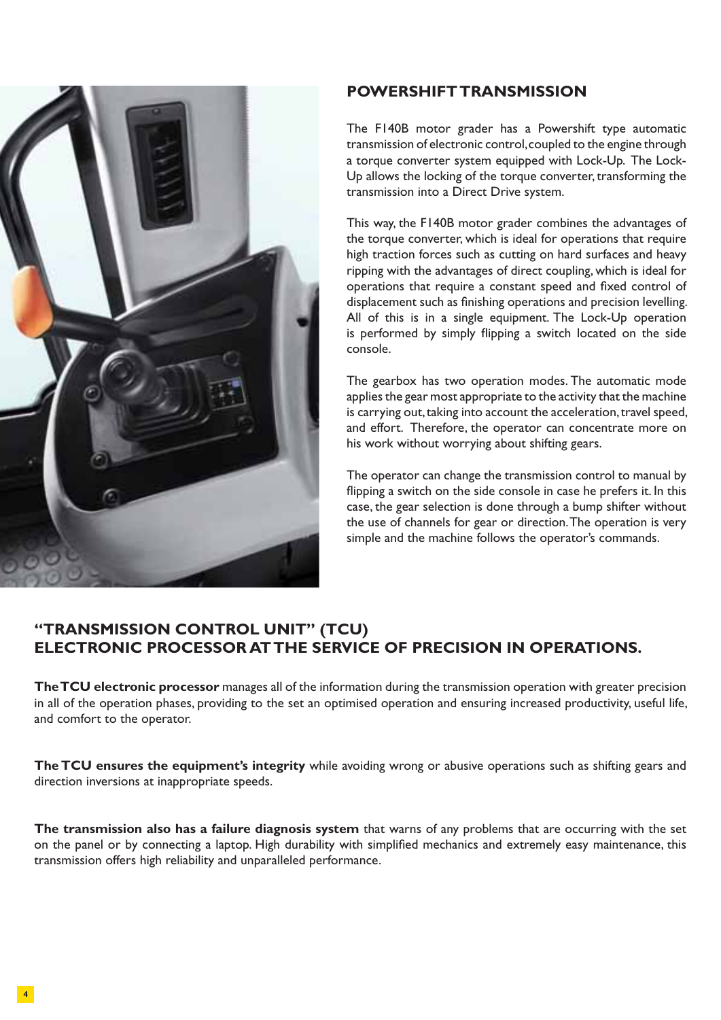

#### **POWERSHIFT TRANSMISSION**

The F140B motor grader has a Powershift type automatic transmission of electronic control, coupled to the engine through a torque converter system equipped with Lock-Up. The Lock-Up allows the locking of the torque converter, transforming the transmission into a Direct Drive system.

This way, the F140B motor grader combines the advantages of the torque converter, which is ideal for operations that require high traction forces such as cutting on hard surfaces and heavy ripping with the advantages of direct coupling, which is ideal for operations that require a constant speed and fixed control of displacement such as finishing operations and precision levelling. All of this is in a single equipment. The Lock-Up operation is performed by simply flipping a switch located on the side console.

The gearbox has two operation modes. The automatic mode applies the gear most appropriate to the activity that the machine is carrying out, taking into account the acceleration, travel speed, and effort. Therefore, the operator can concentrate more on his work without worrying about shifting gears.

The operator can change the transmission control to manual by flipping a switch on the side console in case he prefers it. In this case, the gear selection is done through a bump shifter without the use of channels for gear or direction. The operation is very simple and the machine follows the operator's commands.

### **"TRANSMISSION CONTROL UNIT" (TCU) ELECTRONIC PROCESSOR AT THE SERVICE OF PRECISION IN OPERATIONS.**

**The TCU electronic processor** manages all of the information during the transmission operation with greater precision in all of the operation phases, providing to the set an optimised operation and ensuring increased productivity, useful life, and comfort to the operator.

**The TCU ensures the equipment's integrity** while avoiding wrong or abusive operations such as shifting gears and direction inversions at inappropriate speeds.

**The transmission also has a failure diagnosis system** that warns of any problems that are occurring with the set on the panel or by connecting a laptop. High durability with simplified mechanics and extremely easy maintenance, this transmission offers high reliability and unparalleled performance.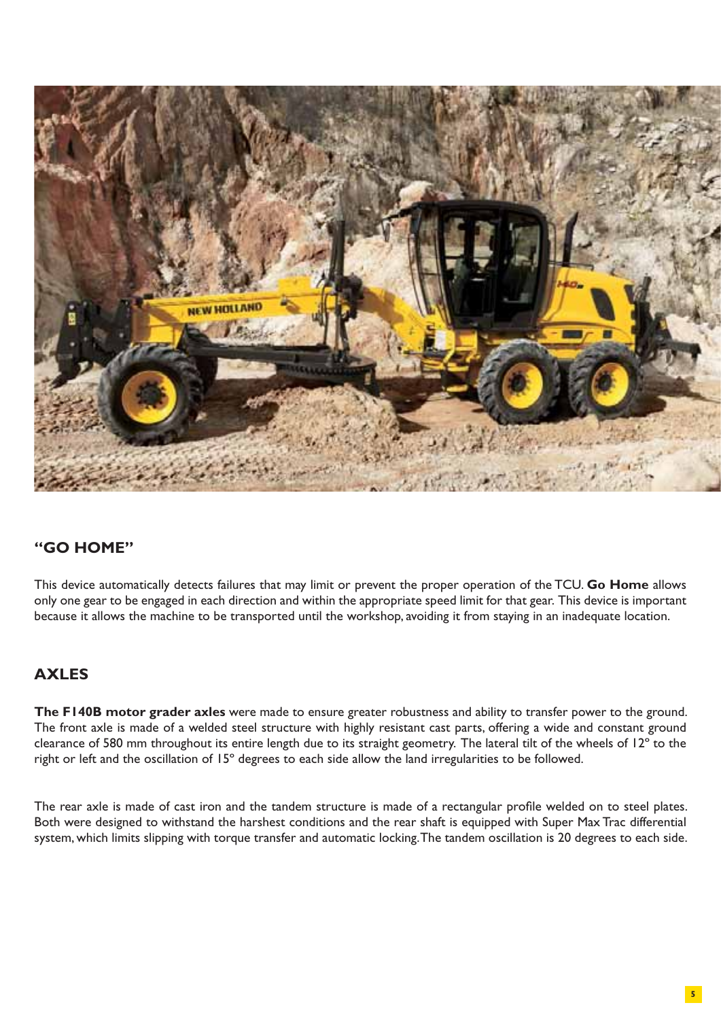

# **"GO HOME"**

This device automatically detects failures that may limit or prevent the proper operation of the TCU. **Go Home** allows only one gear to be engaged in each direction and within the appropriate speed limit for that gear. This device is important because it allows the machine to be transported until the workshop, avoiding it from staying in an inadequate location.

# **AXLES**

**The F140B motor grader axles** were made to ensure greater robustness and ability to transfer power to the ground. The front axle is made of a welded steel structure with highly resistant cast parts, offering a wide and constant ground clearance of 580 mm throughout its entire length due to its straight geometry. The lateral tilt of the wheels of 12º to the right or left and the oscillation of 15º degrees to each side allow the land irregularities to be followed.

The rear axle is made of cast iron and the tandem structure is made of a rectangular profile welded on to steel plates. Both were designed to withstand the harshest conditions and the rear shaft is equipped with Super Max Trac differential system, which limits slipping with torque transfer and automatic locking. The tandem oscillation is 20 degrees to each side.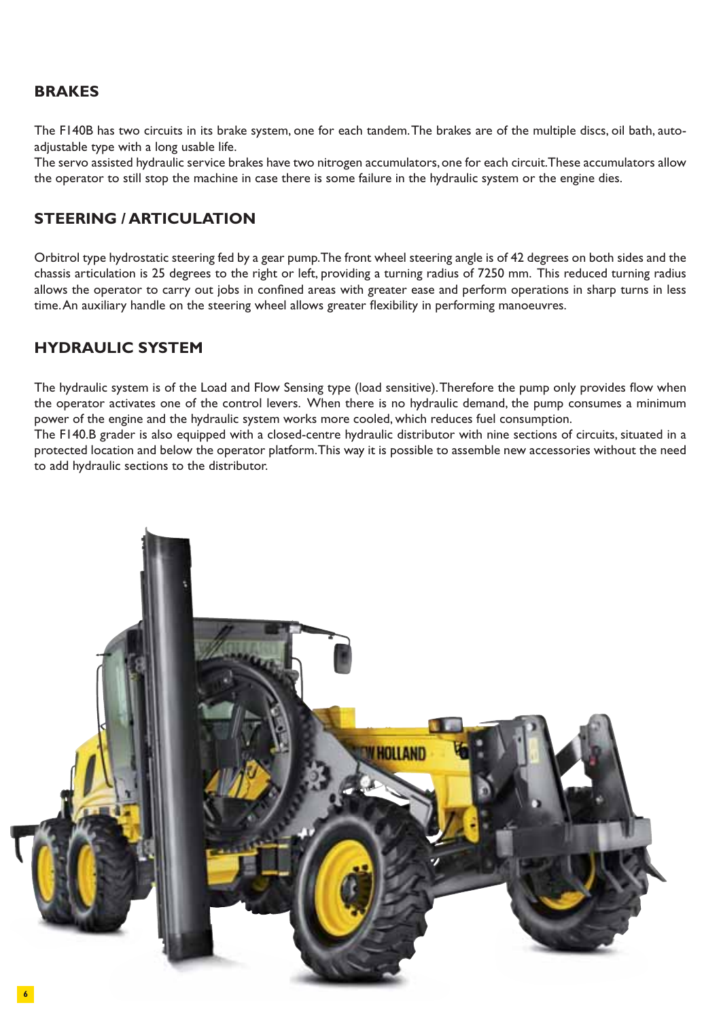#### **BRAKES**

The F140B has two circuits in its brake system, one for each tandem. The brakes are of the multiple discs, oil bath, autoadjustable type with a long usable life.

The servo assisted hydraulic service brakes have two nitrogen accumulators, one for each circuit. These accumulators allow the operator to still stop the machine in case there is some failure in the hydraulic system or the engine dies.

#### **STEERING / ARTICULATION**

Orbitrol type hydrostatic steering fed by a gear pump. The front wheel steering angle is of 42 degrees on both sides and the chassis articulation is 25 degrees to the right or left, providing a turning radius of 7250 mm. This reduced turning radius allows the operator to carry out jobs in confined areas with greater ease and perform operations in sharp turns in less time. An auxiliary handle on the steering wheel allows greater flexibility in performing manoeuvres.

#### **HYDRAULIC SYSTEM**

The hydraulic system is of the Load and Flow Sensing type (load sensitive). Therefore the pump only provides flow when the operator activates one of the control levers. When there is no hydraulic demand, the pump consumes a minimum power of the engine and the hydraulic system works more cooled, which reduces fuel consumption.

The F140.B grader is also equipped with a closed-centre hydraulic distributor with nine sections of circuits, situated in a protected location and below the operator platform. This way it is possible to assemble new accessories without the need to add hydraulic sections to the distributor.

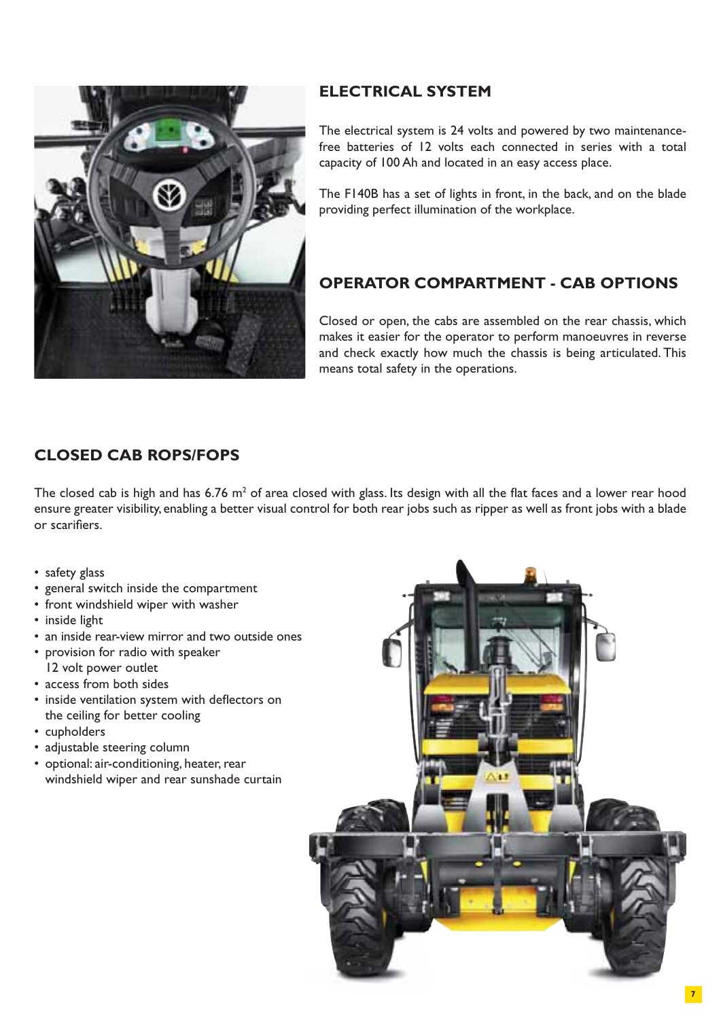

# **ELECTRICAL SYSTEM**

The electrical system is 24 volts and powered by two maintenancefree batteries of 12 volts each connected in series with a total capacity of 100 Ah and located in an easy access place.

The F140B has a set of lights in front, in the back, and on the blade providing perfect illumination of the workplace.

# **OPERATOR COMPARTMENT - CAB OPTIONS**

Closed or open, the cabs are assembled on the rear chassis, which makes it easier for the operator to perform manoeuvres in reverse and check exactly how much the chassis is being articulated. This means total safety in the operations.

# **CLOSED CAB ROPS/FOPS**

The closed cab is high and has 6.76 m<sup>2</sup> of area closed with glass. Its design with all the flat faces and a lower rear hood ensure greater visibility, enabling a better visual control for both rear jobs such as ripper as well as front jobs with a blade or scarifiers.

- safety glass
- general switch inside the compartment
- front windshield wiper with washer
- inside light
- an inside rear-view mirror and two outside ones
- provision for radio with speaker 12 volt power outlet
- access from both sides
- inside ventilation system with deflectors on the ceiling for better cooling
- cupholders
- adjustable steering column
- optional: air-conditioning, heater, rear windshield wiper and rear sunshade curtain

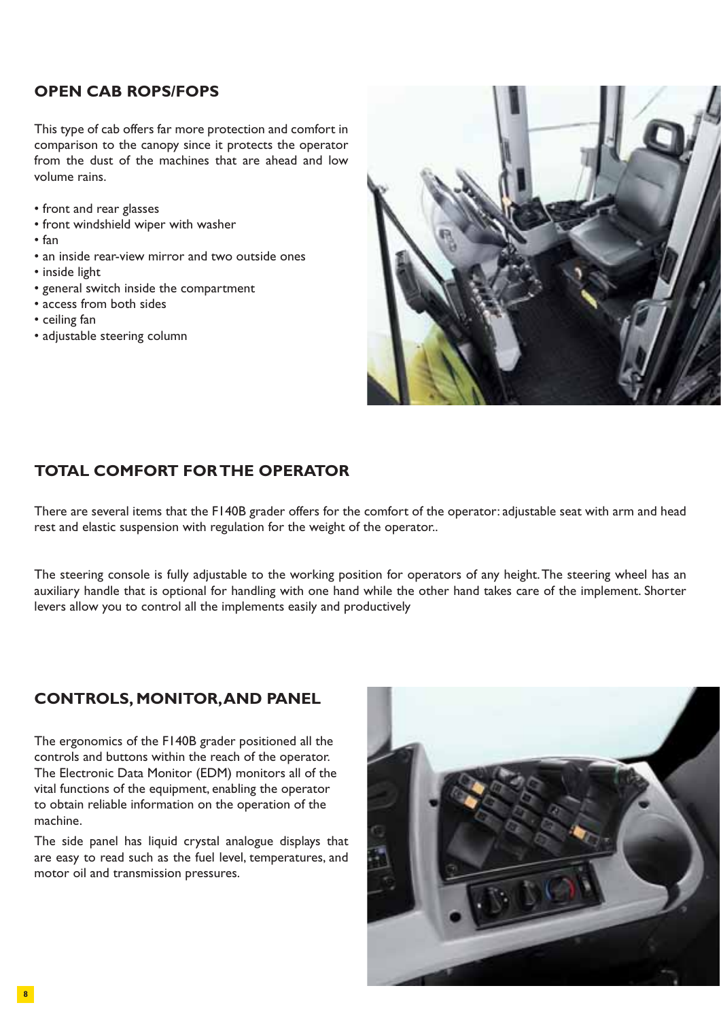#### **OPEN CAB ROPS/FOPS**

This type of cab offers far more protection and comfort in comparison to the canopy since it protects the operator from the dust of the machines that are ahead and low volume rains.

- front and rear glasses
- front windshield wiper with washer
- fan
- an inside rear-view mirror and two outside ones
- inside light
- general switch inside the compartment
- access from both sides
- ceiling fan
- adjustable steering column



#### **TOTAL COMFORT FOR THE OPERATOR**

There are several items that the F140B grader offers for the comfort of the operator: adjustable seat with arm and head rest and elastic suspension with regulation for the weight of the operator..

The steering console is fully adjustable to the working position for operators of any height. The steering wheel has an auxiliary handle that is optional for handling with one hand while the other hand takes care of the implement. Shorter levers allow you to control all the implements easily and productively

#### **CONTROLS, MONITOR, AND PANEL**

The ergonomics of the F140B grader positioned all the controls and buttons within the reach of the operator. The Electronic Data Monitor (EDM) monitors all of the vital functions of the equipment, enabling the operator to obtain reliable information on the operation of the machine.

The side panel has liquid crystal analogue displays that are easy to read such as the fuel level, temperatures, and motor oil and transmission pressures.

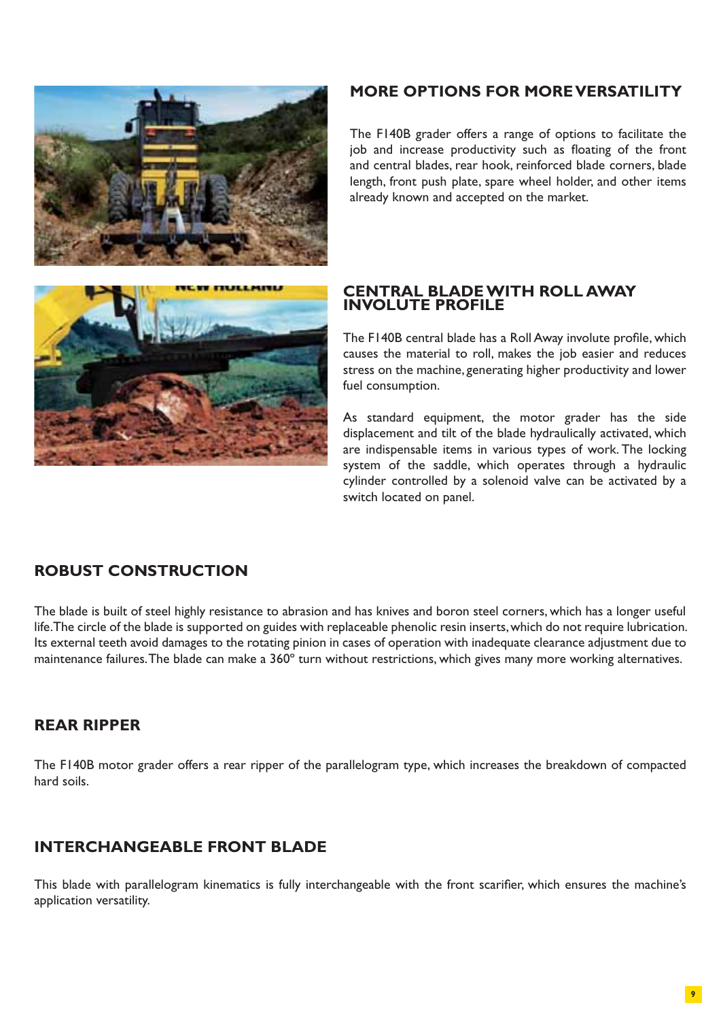

#### **MORE OPTIONS FOR MORE VERSATILITY**

The F140B grader offers a range of options to facilitate the job and increase productivity such as floating of the front and central blades, rear hook, reinforced blade corners, blade length, front push plate, spare wheel holder, and other items already known and accepted on the market.



#### **CENTRAL BLADE WITH ROLL AWAY INVOLUTE PROFILE**

The F140B central blade has a Roll Away involute profile, which causes the material to roll, makes the job easier and reduces stress on the machine, generating higher productivity and lower fuel consumption.

As standard equipment, the motor grader has the side displacement and tilt of the blade hydraulically activated, which are indispensable items in various types of work. The locking system of the saddle, which operates through a hydraulic cylinder controlled by a solenoid valve can be activated by a switch located on panel.

#### **ROBUST CONSTRUCTION**

The blade is built of steel highly resistance to abrasion and has knives and boron steel corners, which has a longer useful life. The circle of the blade is supported on guides with replaceable phenolic resin inserts, which do not require lubrication. Its external teeth avoid damages to the rotating pinion in cases of operation with inadequate clearance adjustment due to maintenance failures. The blade can make a 360º turn without restrictions, which gives many more working alternatives.

#### **REAR RIPPER**

The F140B motor grader offers a rear ripper of the parallelogram type, which increases the breakdown of compacted hard soils.

# **INTERCHANGEABLE FRONT BLADE**

This blade with parallelogram kinematics is fully interchangeable with the front scarifier, which ensures the machine's application versatility.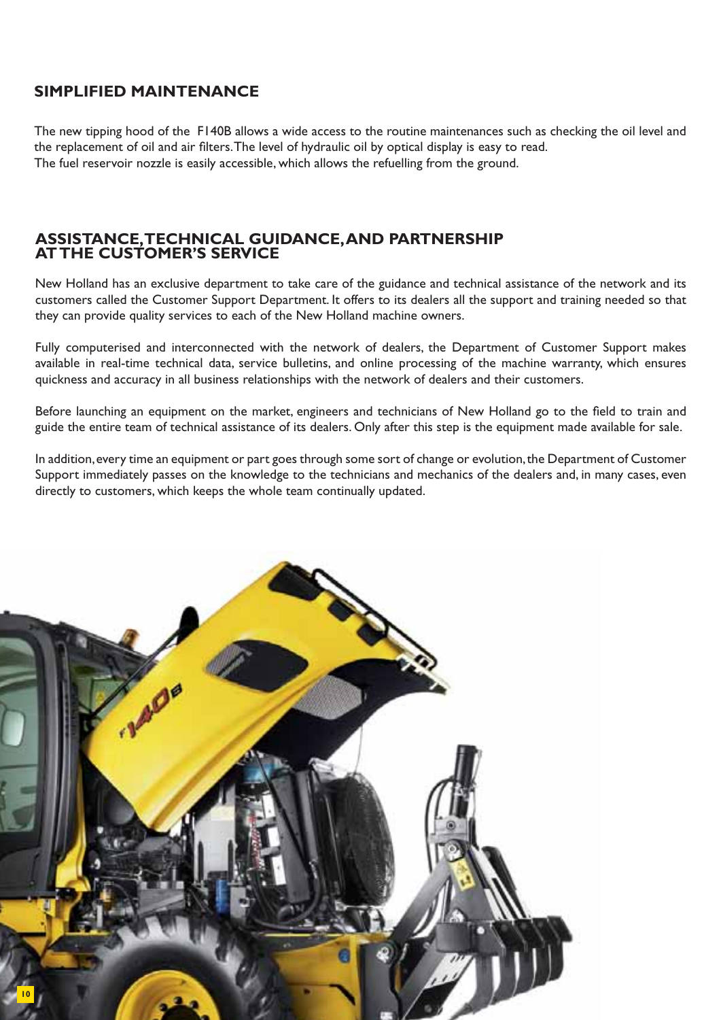#### **SIMPLIFIED MAINTENANCE**

The new tipping hood of the F140B allows a wide access to the routine maintenances such as checking the oil level and the replacement of oil and air filters. The level of hydraulic oil by optical display is easy to read. The fuel reservoir nozzle is easily accessible, which allows the refuelling from the ground.

#### **ASSISTANCE, TECHNICAL GUIDANCE, AND PARTNERSHIP AT THE CUSTOMER'S SERVICE**

New Holland has an exclusive department to take care of the guidance and technical assistance of the network and its customers called the Customer Support Department. It offers to its dealers all the support and training needed so that they can provide quality services to each of the New Holland machine owners.

Fully computerised and interconnected with the network of dealers, the Department of Customer Support makes available in real-time technical data, service bulletins, and online processing of the machine warranty, which ensures quickness and accuracy in all business relationships with the network of dealers and their customers.

Before launching an equipment on the market, engineers and technicians of New Holland go to the field to train and guide the entire team of technical assistance of its dealers. Only after this step is the equipment made available for sale.

In addition, every time an equipment or part goes through some sort of change or evolution, the Department of Customer Support immediately passes on the knowledge to the technicians and mechanics of the dealers and, in many cases, even directly to customers, which keeps the whole team continually updated.

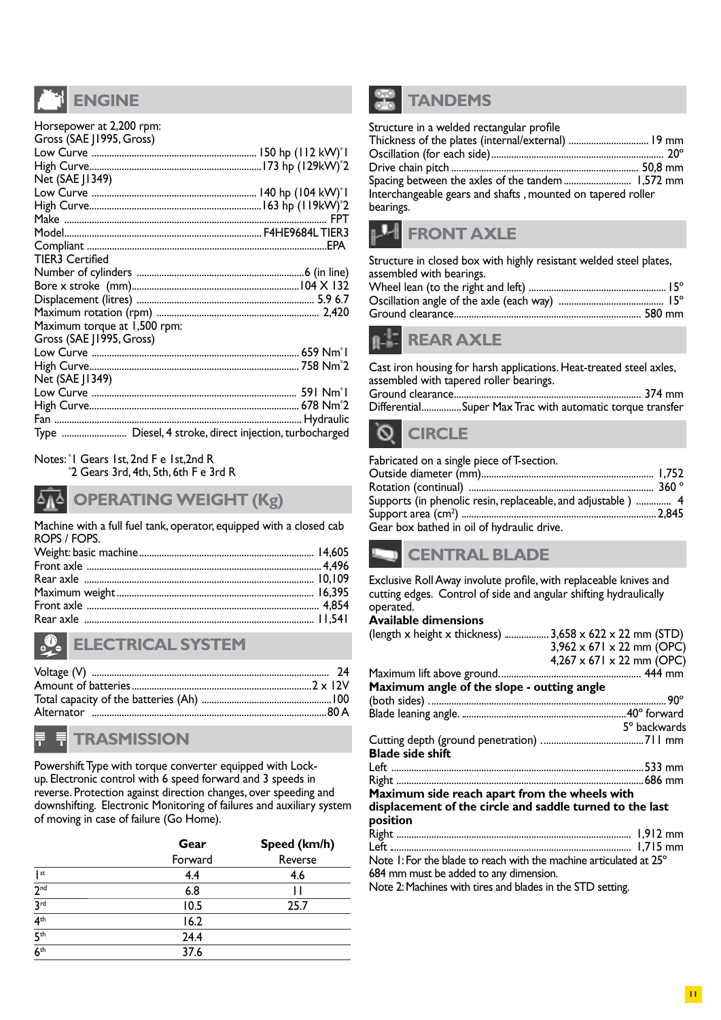# **ENGINE**

| Horsepower at 2,200 rpm:     |                                                        |
|------------------------------|--------------------------------------------------------|
| Gross (SAE J1995, Gross)     |                                                        |
|                              |                                                        |
|                              |                                                        |
| Net (SAE J1349)              |                                                        |
|                              |                                                        |
|                              |                                                        |
|                              |                                                        |
|                              |                                                        |
|                              |                                                        |
| <b>TIER3 Certified</b>       |                                                        |
|                              |                                                        |
|                              |                                                        |
|                              |                                                        |
|                              |                                                        |
| Maximum torque at 1,500 rpm: |                                                        |
| Gross (SAE J1995, Gross)     |                                                        |
|                              |                                                        |
|                              |                                                        |
| Net (SAE J1349)              |                                                        |
|                              |                                                        |
|                              |                                                        |
|                              |                                                        |
|                              | Type  Diesel, 4 stroke, direct injection, turbocharged |

#### Notes: \* 1 Gears 1st, 2nd F e 1st,2nd R

\* 2 Gears 3rd, 4th, 5th, 6th F e 3rd R

#### **OPERATING WEIGHT (Kg)**

Machine with a full fuel tank, operator, equipped with a closed cab ROPS / FOPS.

# **ELECTRICAL SYSTEM**

# **TRASMISSION**

Powershift Type with torque converter equipped with Lockup. Electronic control with 6 speed forward and 3 speeds in reverse. Protection against direction changes, over speeding and downshifting. Electronic Monitoring of failures and auxiliary system of moving in case of failure (Go Home).

|                     | Gear    | Speed (km/h) |
|---------------------|---------|--------------|
|                     | Forward | Reverse      |
| st                  | 4.4     | 4.6          |
| 2 <sup>nd</sup>     | 6.8     |              |
| 3 <sup>rd</sup>     | 10.5    | 25.7         |
| $\overline{4^{th}}$ | 16.2    |              |
| $\overline{5^{th}}$ | 24.4    |              |
| $\overline{6^{th}}$ | 37.6    |              |



| Structure in a welded rectangular profile                   |  |
|-------------------------------------------------------------|--|
| Thickness of the plates (internal/external)  19 mm          |  |
|                                                             |  |
|                                                             |  |
|                                                             |  |
| Interchangeable gears and shafts, mounted on tapered roller |  |
| bearings.                                                   |  |
|                                                             |  |

# **FRONT AXLE**

Structure in closed box with highly resistant welded steel plates, assembled with bearings.



|                        | Cast iron housing for harsh applications. Heat-treated steel axles, |  |
|------------------------|---------------------------------------------------------------------|--|
|                        | assembled with tapered roller bearings.                             |  |
|                        |                                                                     |  |
|                        | DifferentialSuper Max Trac with automatic torque transfer           |  |
| <b><i>Commence</i></b> |                                                                     |  |

#### **CIRCLE** V.

| Fabricated on a single piece of T-section.                   |  |
|--------------------------------------------------------------|--|
|                                                              |  |
|                                                              |  |
| Supports (in phenolic resin, replaceable, and adjustable)  4 |  |
|                                                              |  |
| Gear box bathed in oil of hydraulic drive.                   |  |

# **CENTRAL BLADE**

Exclusive Roll Away involute profile, with replaceable knives and cutting edges. Control of side and angular shifting hydraulically operated.

#### **Available dimensions**

| (length x height x thickness) $3,658 \times 622 \times 22$ mm (STD) |                                       |
|---------------------------------------------------------------------|---------------------------------------|
|                                                                     | $3,962 \times 671 \times 22$ mm (OPC) |
|                                                                     | $4,267 \times 671 \times 22$ mm (OPC) |
|                                                                     |                                       |
|                                                                     |                                       |
| Maximum angle of the slope - outting angle                          |                                       |
|                                                                     |                                       |
|                                                                     |                                       |
|                                                                     | 5° backwards                          |
|                                                                     |                                       |
|                                                                     |                                       |
| <b>Blade side shift</b>                                             |                                       |
|                                                                     |                                       |
|                                                                     |                                       |
| Maximum side reach apart from the wheels with                       |                                       |
| displacement of the circle and saddle turned to the last            |                                       |
|                                                                     |                                       |
| position                                                            |                                       |
|                                                                     |                                       |
|                                                                     |                                       |
| Note 1: For the blade to reach with the machine articulated at 25°  |                                       |
| 684 mm must be added to any dimension.                              |                                       |

Note 2: Machines with tires and blades in the STD setting.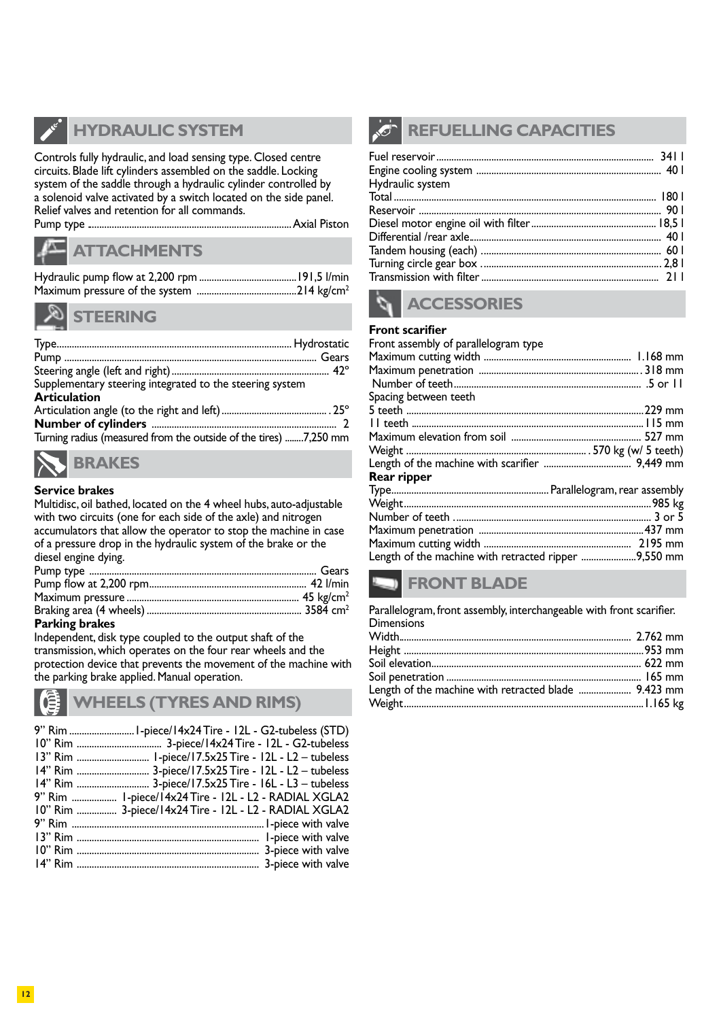

# **HYDRAULIC SYSTEM**

Controls fully hydraulic, and load sensing type. Closed centre circuits. Blade lift cylinders assembled on the saddle. Locking system of the saddle through a hydraulic cylinder controlled by a solenoid valve activated by a switch located on the side panel. Relief valves and retention for all commands.

Pump type . .................................................................................Axial Piston



#### **ATTACHMENTS**



#### **STEERING**

| Supplementary steering integrated to the steering system<br><b>Articulation</b> |  |
|---------------------------------------------------------------------------------|--|
|                                                                                 |  |
|                                                                                 |  |
|                                                                                 |  |
| Turning radius (measured from the outside of the tires) 7,250 mm                |  |
|                                                                                 |  |



#### **Service brakes**

Multidisc, oil bathed, located on the 4 wheel hubs, auto-adjustable with two circuits (one for each side of the axle) and nitrogen accumulators that allow the operator to stop the machine in case of a pressure drop in the hydraulic system of the brake or the diesel engine dying.

#### **Parking brakes**

Independent, disk type coupled to the output shaft of the transmission, which operates on the four rear wheels and the protection device that prevents the movement of the machine with the parking brake applied. Manual operation.

# **WHEELS (TYRES AND RIMS)**

| 9" Rim  1-piece/14x24 Tire - 12L - L2 - RADIAL XGLA2  |
|-------------------------------------------------------|
| 10" Rim  3-piece/14x24 Tire - 12L - L2 - RADIAL XGLA2 |
|                                                       |
|                                                       |
|                                                       |
|                                                       |

# **REFUELLING CAPACITIES**

| Hydraulic system |  |
|------------------|--|
|                  |  |
|                  |  |
|                  |  |
|                  |  |
|                  |  |
|                  |  |
|                  |  |



#### **Front scarifier**

#### Front assembly of parallelogram type Maximum cutting width ........................................................... 1.168 mm Maximum penetration ................................................................. 318 mm Number of teeth ........................................................................... .5 or 11 Spacing between teeth 5 teeth ...............................................................................................229 mm 11 teeth . ............................................................................................115 mm

#### Weight . ....................................................................... . 570 kg (w/ 5 teeth) Length of the machine with scarifier

| $\blacksquare$                                       |  |
|------------------------------------------------------|--|
| Rear ripper                                          |  |
|                                                      |  |
|                                                      |  |
|                                                      |  |
|                                                      |  |
|                                                      |  |
| Length of the machine with retracted ripper 9,550 mm |  |

Maximum elevation from soil .................................................... 527 mm

# **FRONT BLADE**

Parallelogram, front assembly, interchangeable with front scarifier. **Dimensions** 

| Length of the machine with retracted blade  9.423 mm |  |
|------------------------------------------------------|--|
|                                                      |  |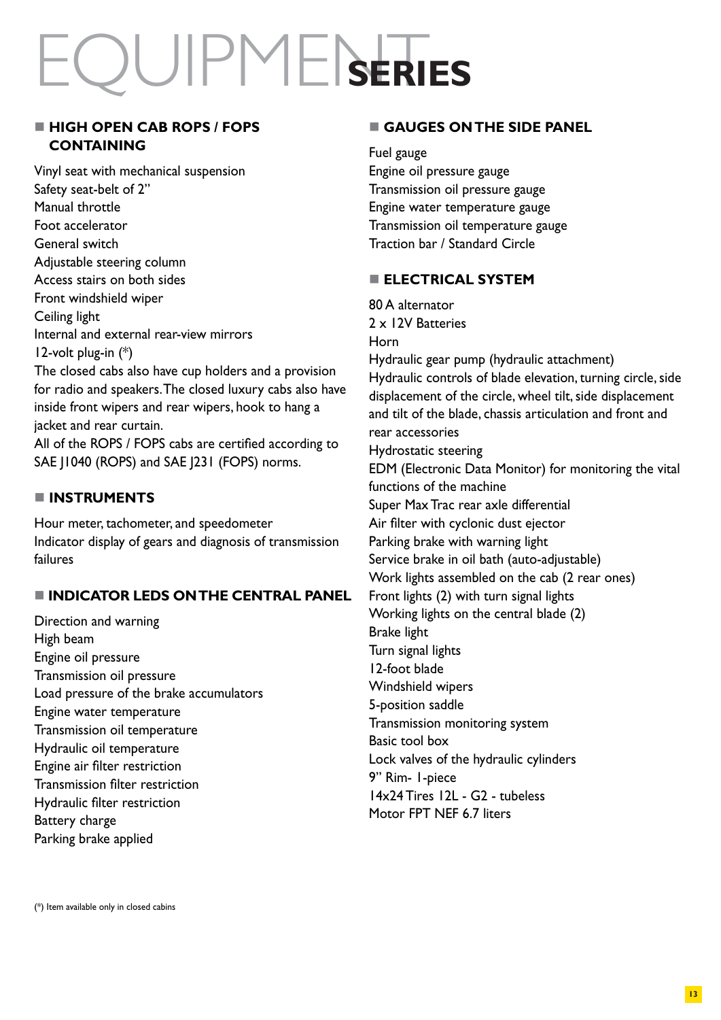# EQUIPMENT**SERIES**

### **E HIGH OPEN CAB ROPS / FOPS CONTAINING**

Vinyl seat with mechanical suspension Safety seat-belt of 2" Manual throttle Foot accelerator General switch Adjustable steering column Access stairs on both sides Front windshield wiper Ceiling light Internal and external rear-view mirrors 12-volt plug-in (\*) The closed cabs also have cup holders and a provision for radio and speakers. The closed luxury cabs also have

inside front wipers and rear wipers, hook to hang a jacket and rear curtain.

All of the ROPS / FOPS cabs are certified according to SAE J1040 (ROPS) and SAE J231 (FOPS) norms.

# - **INSTRUMENTS**

Hour meter, tachometer, and speedometer Indicator display of gears and diagnosis of transmission failures

# **INDICATOR LEDS ON THE CENTRAL PANEL**

Direction and warning High beam Engine oil pressure Transmission oil pressure Load pressure of the brake accumulators Engine water temperature Transmission oil temperature Hydraulic oil temperature Engine air filter restriction Transmission filter restriction Hydraulic filter restriction Battery charge Parking brake applied

# **GAUGES ON THE SIDE PANEL**

Fuel gauge Engine oil pressure gauge Transmission oil pressure gauge Engine water temperature gauge Transmission oil temperature gauge Traction bar / Standard Circle

# **ELECTRICAL SYSTEM**

80 A alternator 2 x 12V Batteries Horn Hydraulic gear pump (hydraulic attachment) Hydraulic controls of blade elevation, turning circle, side displacement of the circle, wheel tilt, side displacement and tilt of the blade, chassis articulation and front and rear accessories Hydrostatic steering EDM (Electronic Data Monitor) for monitoring the vital functions of the machine Super Max Trac rear axle differential Air filter with cyclonic dust ejector Parking brake with warning light Service brake in oil bath (auto-adjustable) Work lights assembled on the cab (2 rear ones) Front lights (2) with turn signal lights Working lights on the central blade (2) Brake light Turn signal lights 12-foot blade Windshield wipers 5-position saddle Transmission monitoring system Basic tool box Lock valves of the hydraulic cylinders 9" Rim- 1-piece 14x24 Tires 12L - G2 - tubeless Motor FPT NFF 6.7 liters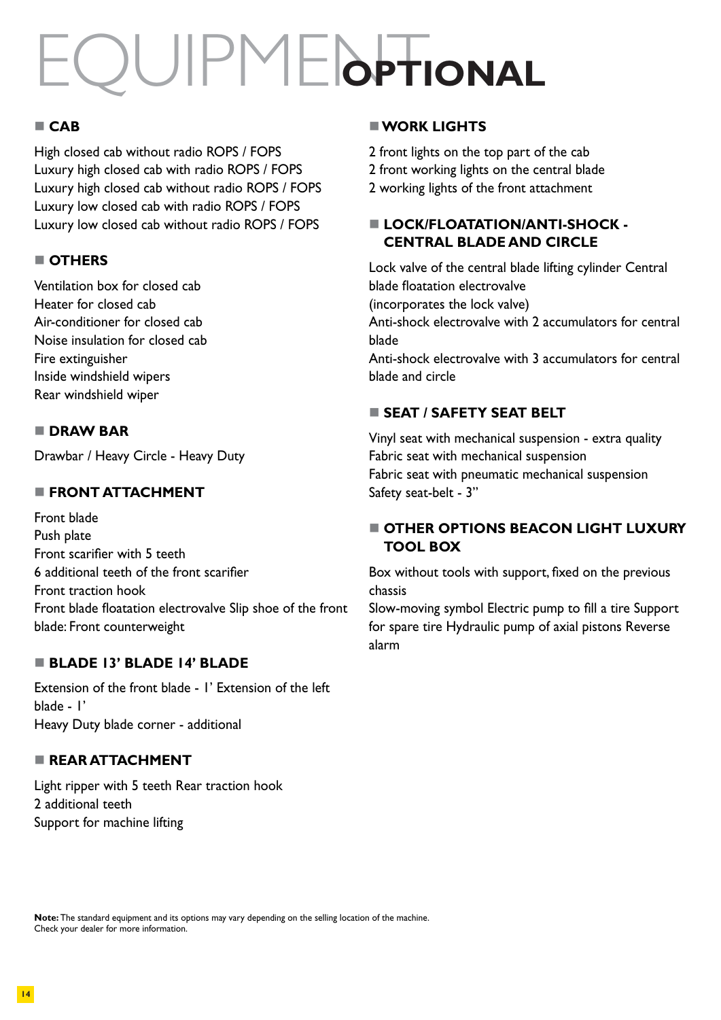# EQUIPME**I**OPTIONAL

# - **CAB**

High closed cab without radio ROPS / FOPS Luxury high closed cab with radio ROPS / FOPS Luxury high closed cab without radio ROPS / FOPS Luxury low closed cab with radio ROPS / FOPS Luxury low closed cab without radio ROPS / FOPS

# **OTHERS**

Ventilation box for closed cab Heater for closed cab Air-conditioner for closed cab Noise insulation for closed cab Fire extinguisher Inside windshield wipers Rear windshield wiper

# **DRAW BAR**

Drawbar / Heavy Circle - Heavy Duty

# **FRONT ATTACHMENT**

Front blade Push plate Front scarifier with 5 teeth 6 additional teeth of the front scarifier Front traction hook Front blade floatation electrovalve Slip shoe of the front blade: Front counterweight

# **BLADE 13' BLADE 14' BLADE**

Extension of the front blade - 1' Extension of the left blade - 1' Heavy Duty blade corner - additional

# **REAR ATTACHMENT**

Light ripper with 5 teeth Rear traction hook 2 additional teeth Support for machine lifting

# **WORK LIGHTS**

2 front lights on the top part of the cab 2 front working lights on the central blade 2 working lights of the front attachment

# **E LOCK/FLOATATION/ANTI-SHOCK -CENTRAL BLADE AND CIRCLE**

Lock valve of the central blade lifting cylinder Central blade floatation electrovalve (incorporates the lock valve) Anti-shock electrovalve with 2 accumulators for central blade Anti-shock electrovalve with 3 accumulators for central blade and circle

# **SEAT / SAFETY SEAT BELT**

Vinyl seat with mechanical suspension - extra quality Fabric seat with mechanical suspension Fabric seat with pneumatic mechanical suspension Safety seat-belt - 3"

# **THER OPTIONS BEACON LIGHT LUXURY TOOL BOX**

Box without tools with support, fixed on the previous chassis

Slow-moving symbol Electric pump to fill a tire Support for spare tire Hydraulic pump of axial pistons Reverse alarm

**Note:** The standard equipment and its options may vary depending on the selling location of the machine. Check your dealer for more information.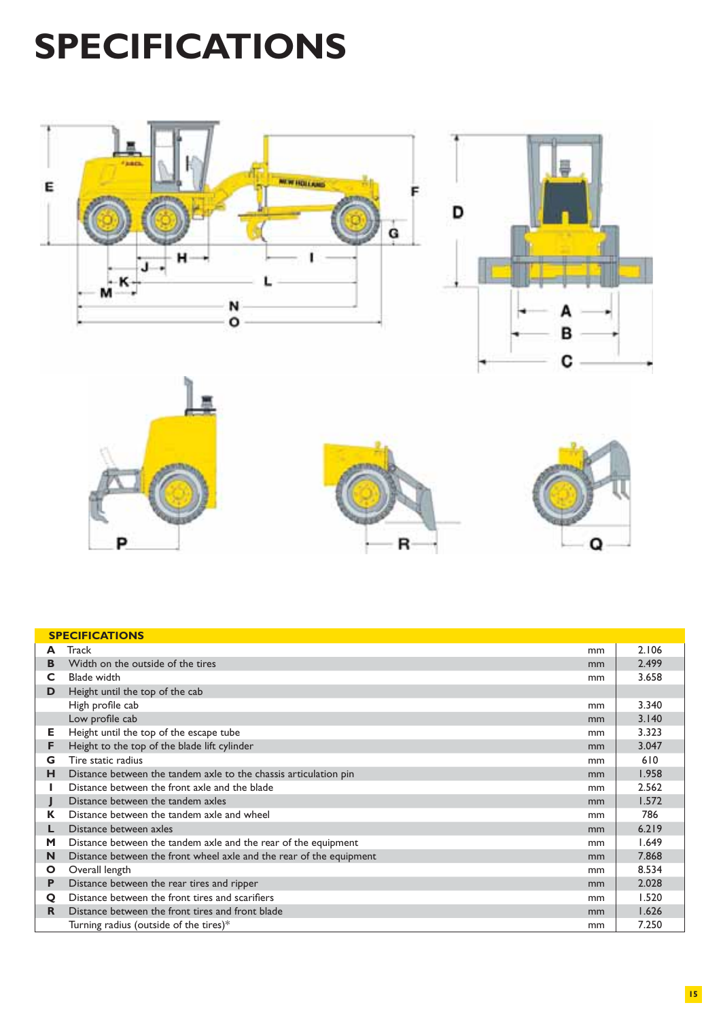# **SPECIFICATIONS**



| <b>SPECIFICATIONS</b> |                                                                     |    |       |  |
|-----------------------|---------------------------------------------------------------------|----|-------|--|
| A                     | Track                                                               | mm | 2.106 |  |
| в                     | Width on the outside of the tires                                   | mm | 2.499 |  |
| C.                    | <b>Blade width</b>                                                  | mm | 3.658 |  |
| D                     | Height until the top of the cab                                     |    |       |  |
|                       | High profile cab                                                    | mm | 3.340 |  |
|                       | Low profile cab                                                     | mm | 3.140 |  |
| Е.                    | Height until the top of the escape tube                             | mm | 3.323 |  |
| F                     | Height to the top of the blade lift cylinder                        | mm | 3.047 |  |
| G                     | Tire static radius                                                  | mm | 610   |  |
| н                     | Distance between the tandem axle to the chassis articulation pin    | mm | 1.958 |  |
|                       | Distance between the front axle and the blade                       | mm | 2.562 |  |
|                       | Distance between the tandem axles                                   | mm | 1.572 |  |
| K                     | Distance between the tandem axle and wheel                          | mm | 786   |  |
| L.                    | Distance between axles                                              | mm | 6.219 |  |
| M                     | Distance between the tandem axle and the rear of the equipment      | mm | 1.649 |  |
| N                     | Distance between the front wheel axle and the rear of the equipment | mm | 7.868 |  |
| $\mathbf{O}$          | Overall length                                                      | mm | 8.534 |  |
| P                     | Distance between the rear tires and ripper                          | mm | 2.028 |  |
| $\mathbf Q$           | Distance between the front tires and scarifiers                     | mm | 1.520 |  |
| R.                    | Distance between the front tires and front blade                    | mm | 1.626 |  |
|                       | Turning radius (outside of the tires) $*$                           | mm | 7.250 |  |